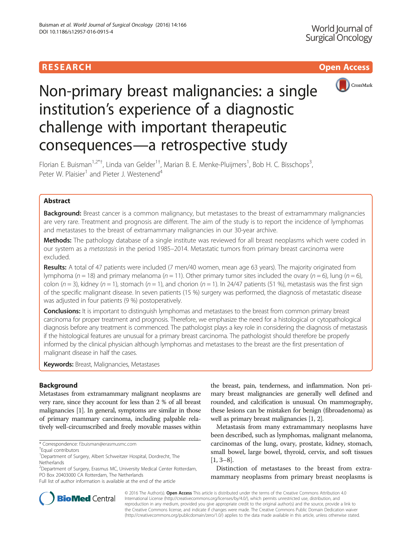# **RESEARCH CHILD CONTROL** CONTROL CONTROL CONTROL CONTROL CONTROL CONTROL CONTROL CONTROL CONTROL CONTROL CONTROL



# Non-primary breast malignancies: a single institution's experience of a diagnostic challenge with important therapeutic consequences—a retrospective study

Florian E. Buisman<sup>1,2\*†</sup>, Linda van Gelder<sup>1†</sup>, Marian B. E. Menke-Pluijmers<sup>1</sup>, Bob H. C. Bisschops<sup>3</sup> , Peter W. Plaisier<sup>1</sup> and Pieter J. Westenend<sup>4</sup>

# Abstract

**Background:** Breast cancer is a common malignancy, but metastases to the breast of extramammary malignancies are very rare. Treatment and prognosis are different. The aim of the study is to report the incidence of lymphomas and metastases to the breast of extramammary malignancies in our 30-year archive.

Methods: The pathology database of a single institute was reviewed for all breast neoplasms which were coded in our system as a *metastasis* in the period 1985–2014. Metastatic tumors from primary breast carcinoma were excluded.

Results: A total of 47 patients were included (7 men/40 women, mean age 63 years). The majority originated from lymphoma ( $n = 18$ ) and primary melanoma ( $n = 11$ ). Other primary tumor sites included the ovary ( $n = 6$ ), lung ( $n = 6$ ), colon (n = 3), kidney (n = 1), stomach (n = 1), and chorion (n = 1). In 24/47 patients (51 %), metastasis was the first sign of the specific malignant disease. In seven patients (15 %) surgery was performed, the diagnosis of metastatic disease was adjusted in four patients (9 %) postoperatively.

**Conclusions:** It is important to distinguish lymphomas and metastases to the breast from common primary breast carcinoma for proper treatment and prognosis. Therefore, we emphasize the need for a histological or cytopathological diagnosis before any treatment is commenced. The pathologist plays a key role in considering the diagnosis of metastasis if the histological features are unusual for a primary breast carcinoma. The pathologist should therefore be properly informed by the clinical physician although lymphomas and metastases to the breast are the first presentation of malignant disease in half the cases.

**Keywords:** Breast, Malignancies, Metastases

# Background

Metastases from extramammary malignant neoplasms are very rare, since they account for less than 2 % of all breast malignancies [\[1](#page-3-0)]. In general, symptoms are similar in those of primary mammary carcinoma, including palpable relatively well-circumscribed and freely movable masses within

<sup>2</sup>Department of Surgery, Erasmus MC, University Medical Center Rotterdam, PO Box 20403000 CA Rotterdam, The Netherlands

the breast, pain, tenderness, and inflammation. Non primary breast malignancies are generally well defined and rounded, and calcification is unusual. On mammography, these lesions can be mistaken for benign (fibroadenoma) as well as primary breast malignancies [\[1, 2](#page-3-0)].

Metastasis from many extramammary neoplasms have been described, such as lymphomas, malignant melanoma, carcinomas of the lung, ovary, prostate, kidney, stomach, small bowel, large bowel, thyroid, cervix, and soft tissues [[1, 3](#page-3-0)–[8\]](#page-3-0).

Distinction of metastases to the breast from extramammary neoplasms from primary breast neoplasms is



© 2016 The Author(s). Open Access This article is distributed under the terms of the Creative Commons Attribution 4.0 International License [\(http://creativecommons.org/licenses/by/4.0/](http://creativecommons.org/licenses/by/4.0/)), which permits unrestricted use, distribution, and reproduction in any medium, provided you give appropriate credit to the original author(s) and the source, provide a link to the Creative Commons license, and indicate if changes were made. The Creative Commons Public Domain Dedication waiver [\(http://creativecommons.org/publicdomain/zero/1.0/](http://creativecommons.org/publicdomain/zero/1.0/)) applies to the data made available in this article, unless otherwise stated.

<sup>\*</sup> Correspondence: [f.buisman@erasmusmc.com](mailto:f.buisman@erasmusmc.com) †

Equal contributors

<sup>&</sup>lt;sup>1</sup>Department of Surgery, Albert Schweitzer Hospital, Dordrecht, The Netherlands

Full list of author information is available at the end of the article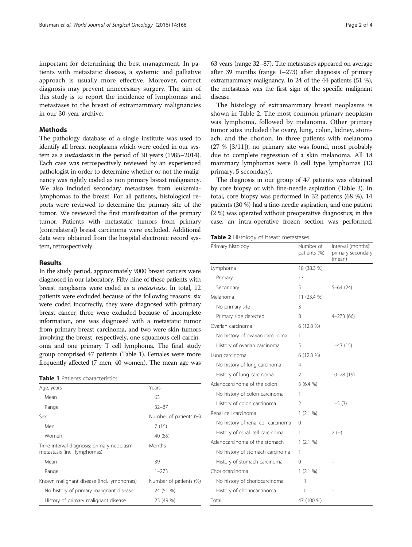important for determining the best management. In patients with metastatic disease, a systemic and palliative approach is usually more effective. Moreover, correct diagnosis may prevent unnecessary surgery. The aim of this study is to report the incidence of lymphomas and metastases to the breast of extramammary malignancies in our 30-year archive.

# **Methods**

The pathology database of a single institute was used to identify all breast neoplasms which were coded in our system as a metastasis in the period of 30 years (1985–2014). Each case was retrospectively reviewed by an experienced pathologist in order to determine whether or not the malignancy was rightly coded as non primary breast malignancy. We also included secondary metastases from leukemialymphomas to the breast. For all patients, histological reports were reviewed to determine the primary site of the tumor. We reviewed the first manifestation of the primary tumor. Patients with metastatic tumors from primary (contralateral) breast carcinoma were excluded. Additional data were obtained from the hospital electronic record system, retrospectively.

## Results

In the study period, approximately 9000 breast cancers were diagnosed in our laboratory. Fifty-nine of these patients with breast neoplasms were coded as a metastasis. In total, 12 patients were excluded because of the following reasons: six were coded incorrectly, they were diagnosed with primary breast cancer, three were excluded because of incomplete information, one was diagnosed with a metastatic tumor from primary breast carcinoma, and two were skin tumors involving the breast, respectively, one squamous cell carcinoma and one primary T cell lymphoma. The final study group comprised 47 patients (Table 1). Females were more frequently affected (7 men, 40 women). The mean age was

#### Table 1 Patients characteristics

| Age, years                                                                | Years                  |  |
|---------------------------------------------------------------------------|------------------------|--|
| Mean                                                                      | 63                     |  |
| Range                                                                     | $32 - 87$              |  |
| Sex                                                                       | Number of patients (%) |  |
| Men                                                                       | 7(15)                  |  |
| Women                                                                     | 40 (85)                |  |
| Time interval diagnosis: primary neoplasm<br>metastasis (incl. lymphomas) | <b>Months</b>          |  |
| Mean                                                                      | 39                     |  |
| Range                                                                     | $1 - 273$              |  |
| Known malignant disease (incl. lymphomas)                                 | Number of patients (%) |  |
| No history of primary malignant disease                                   | 24 (51 %)              |  |
| History of primary malignant disease                                      | 23 (49 %)              |  |

63 years (range 32–87). The metastases appeared on average after 39 months (range 1–273) after diagnosis of primary extramammary malignancy. In 24 of the 44 patients (51 %), the metastasis was the first sign of the specific malignant disease.

The histology of extramammary breast neoplasms is shown in Table 2. The most common primary neoplasm was lymphoma, followed by melanoma. Other primary tumor sites included the ovary, lung, colon, kidney, stomach, and the chorion. In three patients with melanoma (27 % [3/11]), no primary site was found, most probably due to complete regression of a skin melanoma. All 18 mammary lymphomas were B cell type lymphomas (13 primary, 5 secondary).

The diagnosis in our group of 47 patients was obtained by core biopsy or with fine-needle aspiration (Table [3](#page-2-0)). In total, core biopsy was performed in 32 patients (68 %), 14 patients (30 %) had a fine-needle aspiration, and one patient (2 %) was operated without preoperative diagnostics; in this case, an intra-operative frozen section was performed.

| Table 2 Histology of breast metastases |  |
|----------------------------------------|--|
|----------------------------------------|--|

| Primary histology                  | Number of<br>patients (%) | Interval (months):<br>primary-secondary<br>(mean) |
|------------------------------------|---------------------------|---------------------------------------------------|
| Lymphoma                           | 18 (38.3 %)               |                                                   |
| Primary                            | 13                        |                                                   |
| Secondary                          | 5                         | $5 - 64$ (24)                                     |
| Melanoma                           | 11 (23.4 %)               |                                                   |
| No primary site                    | 3                         |                                                   |
| Primary side detected              | 8                         | $4 - 273(66)$                                     |
| Ovarian carcinoma                  | 6 (12.8 %)                |                                                   |
| No history of ovarian carcinoma    | 1                         |                                                   |
| History of ovarian carcinoma       | 5                         | $1-43(15)$                                        |
| Lung carcinoma                     | 6 (12.8 %)                |                                                   |
| No history of lung carcinoma       | 4                         |                                                   |
| History of lung carcinoma          | 2                         | $10 - 28(19)$                                     |
| Adenocarcinoma of the colon        | 3(6.4%                    |                                                   |
| No history of colon carcinoma      | 1                         |                                                   |
| History of colon carcinoma         | 2                         | $1 - 5(3)$                                        |
| Renal cell carcinoma               | 1(2.1%                    |                                                   |
| No history of renal cell carcinoma | 0                         |                                                   |
| History of renal cell carcinoma    | 1                         | $2(-)$                                            |
| Adenocarcinoma of the stomach      | 1(2.1%                    |                                                   |
| No history of stomach carcinoma    | 1                         |                                                   |
| History of stomach carcinoma       | 0                         |                                                   |
| Choriocarcinoma                    | 1(2.1%                    |                                                   |
| No history of choriocarcinoma      | 1                         |                                                   |
| History of choriocarcinoma         | 0                         |                                                   |
| Total                              | 47 (100 %)                |                                                   |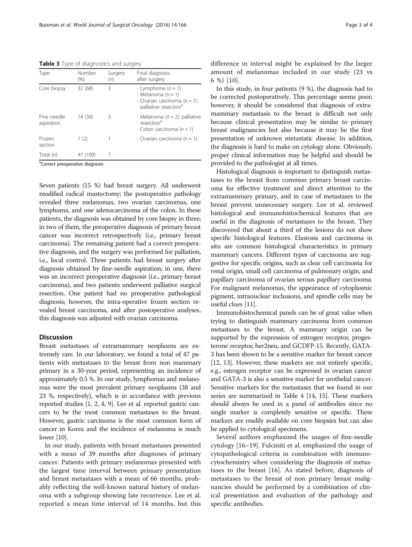<span id="page-2-0"></span>Table 3 Type of diagnostics and surgery

| Type                      | Number<br>(% ) | Surgery<br>(n) | Final diagnosis<br>after surgery                                                                                      |
|---------------------------|----------------|----------------|-----------------------------------------------------------------------------------------------------------------------|
| Core biopsy               | 32 (68)        | 3              | - Lymphoma $(n = 1)$<br>- Melanoma $(n = 1)$<br>- Ovarian carcinoma ( $n = 1$ ):<br>palliative resection <sup>a</sup> |
| Fine needle<br>aspiration | 14 (30)        | 3              | - Melanoma ( $n = 2$ ): palliative<br>resection <sup>a</sup><br>- Colon carcinoma ( $n = 1$ )                         |
| Frozen<br>section         | 1(2)           |                | - Ovarian carcinoma ( $n = 1$ )                                                                                       |
| Total $(n)$               | 47 (100)       | 7              |                                                                                                                       |

<sup>a</sup>Correct preoperative diagnosis

Seven patients (15 %) had breast surgery. All underwent modified radical mastectomy; the postoperative pathology revealed three melanomas, two ovarian carcinomas, one lymphoma, and one adenocarcinoma of the colon. In these patients, the diagnosis was obtained by core biopsy in three; in two of them, the preoperative diagnosis of primary breast cancer was incorrect retrospectively (i.e., primary breast carcinoma). The remaining patient had a correct preoperative diagnosis, and the surgery was performed for palliation, i.e., local control. Three patients had breast surgery after diagnosis obtained by fine-needle aspiration; in one, there was an incorrect preoperative diagnosis (i.e., primary breast carcinoma), and two patients underwent palliative surgical resection. One patient had no preoperative pathological diagnosis; however, the intra-operative frozen section revealed breast carcinoma, and after postoperative analyses, this diagnosis was adjusted with ovarian carcinoma.

# Discussion

Breast metastases of extramammary neoplasms are extremely rare. In our laboratory, we found a total of 47 patients with metastases to the breast from non mammary primary in a 30-year period, representing an incidence of approximately 0.5 %. In our study, lymphomas and melanomas were the most prevalent primary neoplasms (38 and 23 %, respectively), which is in accordance with previous reported studies [\[1](#page-3-0), [2, 4, 9\]](#page-3-0). Lee et al. reported gastric cancers to be the most common metastases to the breast. However, gastric carcinoma is the most common form of cancer in Korea and the incidence of melanoma is much lower [\[10](#page-3-0)].

In our study, patients with breast metastases presented with a mean of 39 months after diagnoses of primary cancer. Patients with primary melanomas presented with the largest time interval between primary presentation and breast metastases with a mean of 66 months, probably reflecting the well-known natural history of melanoma with a subgroup showing late recurrence. Lee et al. reported a mean time interval of 14 months, but this difference in interval might be explained by the larger amount of melanomas included in our study (23 vs 6 %) [[10](#page-3-0)].

In this study, in four patients (9 %), the diagnosis had to be corrected postoperatively. This percentage seems poor; however, it should be considered that diagnosis of extramammary metastasis to the breast is difficult not only because clinical presentation may be similar to primary breast malignancies but also because it may be the first presentation of unknown metastatic disease. In addition, the diagnosis is hard to make on cytology alone. Obviously, proper clinical information may be helpful and should be provided to the pathologist at all times.

Histological diagnosis is important to distinguish metastases to the breast from common primary breast carcinoma for effective treatment and direct attention to the extramammary primary, and in case of metastases to the breast prevent unnecessary surgery. Lee et al. reviewed histological and immunohistochemical features that are useful in the diagnosis of metastases to the breast. They discovered that about a third of the lesions do not show specific histological features. Elastosis and carcinoma in situ are common histological characteristics in primary mammary cancers. Different types of carcinoma are suggestive for specific origins, such as clear cell carcinoma for renal origin, small cell carcinoma of pulmonary origin, and papillary carcinoma of ovarian serous papillary carcinoma. For malignant melanomas, the appearance of cytoplasmic pigment, intranuclear inclusions, and spindle cells may be useful clues [\[11](#page-3-0)].

Immunohistochemical panels can be of great value when trying to distinguish mammary carcinoma from common metastases to the breast. A mammary origin can be supported by the expression of estrogen receptor, progesterone receptor, her2neu, and GCDFP-15. Recently, GATA-3 has been shown to be a sensitive marker for breast cancer [[12](#page-3-0), [13\]](#page-3-0). However, these markers are not entirely specific, e.g., estrogen receptor can be expressed in ovarian cancer and GATA-3 is also a sensitive marker for urothelial cancer. Sensitive markers for the metastases that we found in our series are summarized in Table [4](#page-3-0) [\[14](#page-3-0), [15\]](#page-3-0). These markers should always be used in a panel of antibodies since no single marker is completely sensitive or specific. These markers are readily available on core biopsies but can also be applied to cytological specimens.

Several authors emphasized the usages of fine-needle cytology [[16](#page-3-0)–[19](#page-3-0)]. Fulciniti et al. emphasized the usage of cytopathological criteria in combination with immunocytochemistry when considering the diagnosis of metastases to the breast [[16\]](#page-3-0). As stated before, diagnosis of metastases to the breast of non primary breast malignancies should be performed by a combination of clinical presentation and evaluation of the pathology and specific antibodies.